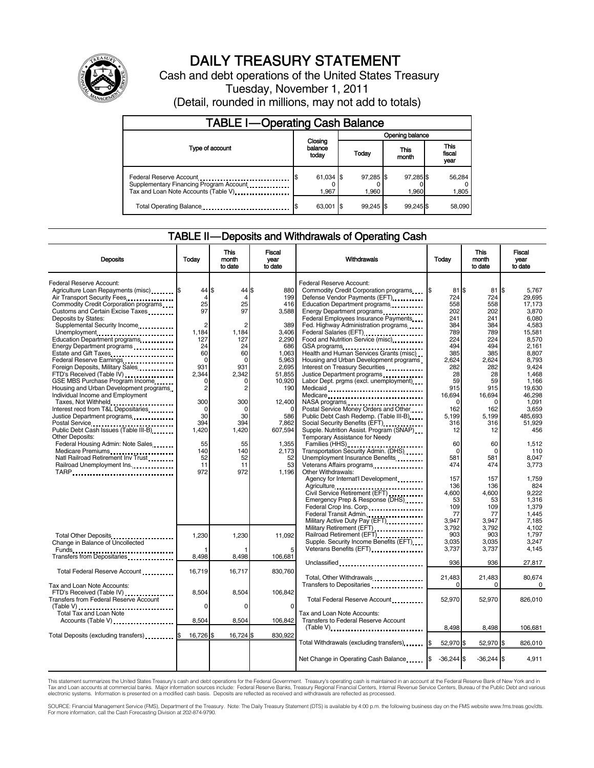

# DAILY TREASURY STATEMENT

Cash and debt operations of the United States Treasury Tuesday, November 1, 2011

(Detail, rounded in millions, may not add to totals)

| <b>TABLE I-Operating Cash Balance</b>                                                                      |                             |  |                    |  |                    |  |                               |
|------------------------------------------------------------------------------------------------------------|-----------------------------|--|--------------------|--|--------------------|--|-------------------------------|
|                                                                                                            |                             |  | Opening balance    |  |                    |  |                               |
| Type of account                                                                                            | Closing<br>balance<br>today |  | Today              |  | This<br>month      |  | <b>This</b><br>fiscal<br>year |
| Federal Reserve Account<br>Supplementary Financing Program Account<br>Tax and Loan Note Accounts (Table V) | 61,034 \$<br>1.967          |  | 97,285 \$<br>1.960 |  | 97,285 \$<br>1.960 |  | 56,284<br>1,805               |
| Total Operating Balance                                                                                    | 63,001                      |  | $99.245$ \$        |  | 99.245 \$          |  | 58,090                        |

### TABLE II — Deposits and Withdrawals of Operating Cash

| <b>Deposits</b>                                                                                                          | Todav                          | This<br>month<br>to date    | Fiscal<br>vear<br>to date      | Withdrawals                                                                                                                          | Todav                      | <b>This</b><br>month<br>to date | Fiscal<br>vear<br>to date        |
|--------------------------------------------------------------------------------------------------------------------------|--------------------------------|-----------------------------|--------------------------------|--------------------------------------------------------------------------------------------------------------------------------------|----------------------------|---------------------------------|----------------------------------|
| Federal Reserve Account:<br>Agriculture Loan Repayments (misc) \$<br>Air Transport Security Fees                         | $44$ S<br>4                    | 44 IS<br>$\overline{4}$     | 880<br>199                     | Federal Reserve Account:<br>Commodity Credit Corporation programs<br>Defense Vendor Payments (EFT)                                   | I\$<br>$81$ S<br>724       | 81<br>724                       | ß.<br>5.767<br>29.695            |
| Commodity Credit Corporation programs<br>Customs and Certain Excise Taxes<br>Deposits by States:                         | 25<br>97                       | 25<br>97                    | 416<br>3,588                   | Education Department programs<br>Energy Department programs<br>Federal Employees Insurance Payments                                  | 558<br>202<br>241          | 558<br>202<br>241               | 17,173<br>3,870<br>6.080         |
| Supplemental Security Income<br>Unemployment<br>Education Department programs                                            | $\overline{c}$<br>1,184<br>127 | 2<br>1,184<br>127           | 389<br>3,406<br>2.290          | Fed. Highway Administration programs<br>Federal Salaries (EFT)<br>Food and Nutrition Service (misc) [100]                            | 384<br>789<br>224          | 384<br>789<br>224               | 4.583<br>15,581<br>8.570         |
| Energy Department programs<br>Estate and Gift Taxes<br>Federal Reserve Earnings<br>Foreign Deposits, Military Sales      | 24<br>60<br>$\Omega$<br>931    | 24<br>60<br>$\Omega$<br>931 | 686<br>1.063<br>5.963<br>2,695 | GSA programs<br>Health and Human Services Grants (misc)<br>Housing and Urban Development programs<br>Interest on Treasury Securities | 494<br>385<br>2.624<br>282 | 494<br>385<br>2,624<br>282      | 2.161<br>8.807<br>8.793<br>9,424 |
| FTD's Received (Table IV)<br>GSE MBS Purchase Program Income<br>Housing and Urban Development programs                   | 2.344<br>0<br>2                | 2,342<br>$\Omega$<br>2      | 51,855<br>10,920<br>190        | Justice Department programs<br>Labor Dept. prgms (excl. unemployment)                                                                | 28<br>59<br>915            | 28<br>59<br>915                 | 1.468<br>1,166<br>19.630         |
| Individual Income and Employment<br>Taxes, Not Withheld<br>Interest recd from T&L Depositaries                           | 300<br>$\Omega$                | 300<br>$\Omega$             | 12,400                         | NASA programs<br>Postal Service Money Orders and Other                                                                               | 16,694<br>U<br>162         | 16,694<br>$\Omega$<br>162       | 46,298<br>1,091<br>3.659         |
| Justice Department programs<br><br>Postal Service<br>Public Debt Cash Issues (Table III-B)<br><br><b>Other Deposits:</b> | 30<br>394<br>1,420             | 30<br>394<br>1,420          | 586<br>7.862<br>607,594        | Public Debt Cash Redemp. (Table III-B)<br>Supple. Nutrition Assist. Program (SNAP)<br>Temporary Assistance for Needy                 | 5.199<br>316<br>12         | 5,199<br>316<br>12              | 485,693<br>51.929<br>456         |
| Federal Housing Admin: Note Sales<br>Medicare Premiums<br>Natl Railroad Retirement Inv Trust                             | 55<br>140<br>52                | 55<br>140<br>52             | 1,355<br>2,173<br>52           | Transportation Security Admin. (DHS)<br>Unemployment Insurance Benefits                                                              | 60<br>$\Omega$<br>581      | 60<br>$\mathbf 0$<br>581        | 1,512<br>110<br>8.047            |
| Railroad Unemployment Ins.                                                                                               | 11<br>972                      | 11<br>972                   | 53<br>1.196                    | Veterans Affairs programs<br>Other Withdrawals:<br>Agency for Internat'l Development                                                 | 474<br>157                 | 474<br>157                      | 3,773<br>1,759                   |
|                                                                                                                          |                                |                             |                                | Agriculture<br>Civil Service Retirement (EFT)<br>Emergency Prep & Response (DHS)<br>Federal Crop Ins. Corp.                          | 136<br>4.600<br>53<br>109  | 136<br>4.600<br>53<br>109       | 824<br>9.222<br>1.316<br>1.379   |
|                                                                                                                          |                                |                             |                                | Federal Transit Admin.<br>Military Active Duty Pay (EFT)<br>Military Retirement (EFT)                                                | 77<br>3.947<br>3.792       | 77<br>3.947<br>3,792            | 1,445<br>7.185<br>4,102          |
| Total Other Deposits<br>Change in Balance of Uncollected<br>Funds                                                        | 1,230                          | 1,230                       | 11.092<br>5                    | Railroad Retirement (EFT)<br>Supple. Security Income Benefits (EFT)                                                                  | 903<br>3.035<br>3,737      | 903<br>3,035<br>3,737           | 1.797<br>3,247<br>4,145          |
| Total Federal Reserve Account                                                                                            | 8,498<br>16,719                | 8,498<br>16,717             | 106,681<br>830,760             | Unclassified                                                                                                                         | 936<br>21,483              | 936<br>21,483                   | 27,817<br>80,674                 |
| Tax and Loan Note Accounts:<br>FTD's Received (Table IV)<br><b>Transfers from Federal Reserve Account</b>                | 8,504                          | 8,504                       | 106,842                        | Total, Other Withdrawals<br>Transfers to Depositaries<br>Total Federal Reserve Account                                               | <sup>n</sup><br>52,970     | $\Omega$<br>52,970              | 0<br>826,010                     |
| Total Tax and Loan Note<br>Accounts (Table V)                                                                            | 0<br>8,504                     | 0<br>8.504                  | 0<br>106.842                   | Tax and Loan Note Accounts:<br><b>Transfers to Federal Reserve Account</b>                                                           |                            |                                 |                                  |
| Total Deposits (excluding transfers)                                                                                     | 16,726 \$                      | 16,724 \$                   | 830,922                        | $(Table V)$<br>Total Withdrawals (excluding transfers)                                                                               | 8,498<br>52,970 \$<br>I\$  | 8,498<br>52,970 \$              | 106,681<br>826,010               |
|                                                                                                                          |                                |                             |                                | Net Change in Operating Cash Balance                                                                                                 | $-36,244$ \$               | $-36,244$ \$                    | 4,911                            |

This statement summarizes the United States Treasury's cash and debt operations for the Federal Government. Treasury's operating cash is maintained in an account at the Federal Reserve Bank of New York and in Tax and Loan accounts at commercial banks. Major information sources include: Federal Reserve Banks, Treasury Regional Financial Centers, Internal Revenue Service Centers, Bureau of the Public Debt and various<br>electronic s

SOURCE: Financial Management Service (FMS), Department of the Treasury. Note: The Daily Treasury Statement (DTS) is available by 4:00 p.m. the following business day on the FMS website www.fms.treas.gov/dts. For more information, call the Cash Forecasting Division at 202-874-9790.